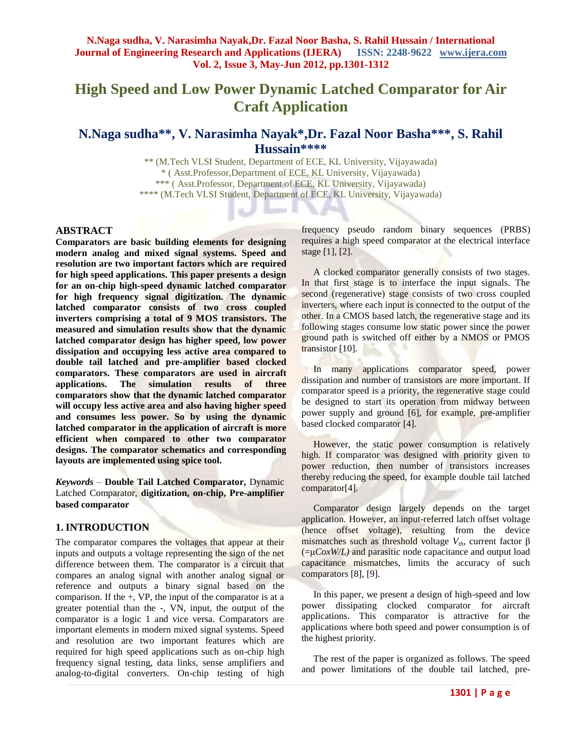# **High Speed and Low Power Dynamic Latched Comparator for Air Craft Application**

## **N.Naga sudha\*\*, V. Narasimha Nayak\*,Dr. Fazal Noor Basha\*\*\*, S. Rahil Hussain\*\*\*\***

\*\* (M.Tech VLSI Student, Department of ECE, KL University, Vijayawada) \* ( Asst.Professor,Department of ECE, KL University, Vijayawada) \*\*\* ( Asst.Professor, Department of ECE, KL University, Vijayawada) \*\*\*\* (M.Tech VLSI Student, Department of ECE, KL University, Vijayawada)

**Barnet W** 

 $\frac{1}{2} \sum_{i=1}^{n} \frac{1}{2} \sum_{i=1}^{n} \frac{1}{2} \sum_{i=1}^{n} \frac{1}{2} \sum_{i=1}^{n} \frac{1}{2} \sum_{i=1}^{n} \frac{1}{2} \sum_{i=1}^{n} \frac{1}{2} \sum_{i=1}^{n} \frac{1}{2} \sum_{i=1}^{n} \frac{1}{2} \sum_{i=1}^{n} \frac{1}{2} \sum_{i=1}^{n} \frac{1}{2} \sum_{i=1}^{n} \frac{1}{2} \sum_{i=1}^{n} \frac{1}{2} \sum_{i=1}^{n$ 

#### **ABSTRACT**

**Comparators are basic building elements for designing modern analog and mixed signal systems. Speed and resolution are two important factors which are required for high speed applications. This paper presents a design for an on-chip high-speed dynamic latched comparator for high frequency signal digitization. The dynamic latched comparator consists of two cross coupled inverters comprising a total of 9 MOS transistors. The measured and simulation results show that the dynamic latched comparator design has higher speed, low power dissipation and occupying less active area compared to double tail latched and pre-amplifier based clocked comparators. These comparators are used in aircraft applications. The simulation results of three comparators show that the dynamic latched comparator will occupy less active area and also having higher speed and consumes less power. So by using the dynamic latched comparator in the application of aircraft is more efficient when compared to other two comparator designs. The comparator schematics and corresponding layouts are implemented using spice tool.**

*Keywords* – **Double Tail Latched Comparator,** Dynamic Latched Comparator, **digitization, on-chip, Pre-amplifier based comparator**

#### **1. INTRODUCTION**

The comparator compares the voltages that appear at their inputs and outputs a voltage representing the sign of the net difference between them. The comparator is a circuit that compares an analog signal with another analog signal or reference and outputs a binary signal based on the comparison. If the  $+$ , VP, the input of the comparator is at a greater potential than the -, VN, input, the output of the comparator is a logic 1 and vice versa. Comparators are important elements in modern mixed signal systems. Speed and resolution are two important features which are required for high speed applications such as on-chip high frequency signal testing, data links, sense amplifiers and analog-to-digital converters. On-chip testing of high frequency pseudo random binary sequences (PRBS) requires a high speed comparator at the electrical interface stage [1], [2].

 A clocked comparator generally consists of two stages. In that first stage is to interface the input signals. The second (regenerative) stage consists of two cross coupled inverters, where each input is connected to the output of the other. In a CMOS based latch, the regenerative stage and its following stages consume low static power since the power ground path is switched off either by a NMOS or PMOS transistor [10].

 In many applications comparator speed, power dissipation and number of transistors are more important. If comparator speed is a priority, the regenerative stage could be designed to start its operation from midway between power supply and ground [6], for example, pre-amplifier based clocked comparator [4].

 However, the static power consumption is relatively high. If comparator was designed with priority given to power reduction, then number of transistors increases thereby reducing the speed, for example double tail latched comparator[4].

 Comparator design largely depends on the target application. However, an input-referred latch offset voltage (hence offset voltage), resulting from the device mismatches such as threshold voltage  $V_{th}$ , current factor  $\beta$ (=μ*CoxW/L)* and parasitic node capacitance and output load capacitance mismatches, limits the accuracy of such comparators [8], [9].

 In this paper, we present a design of high-speed and low power dissipating clocked comparator for aircraft applications. This comparator is attractive for the applications where both speed and power consumption is of the highest priority.

 The rest of the paper is organized as follows. The speed and power limitations of the double tail latched, pre-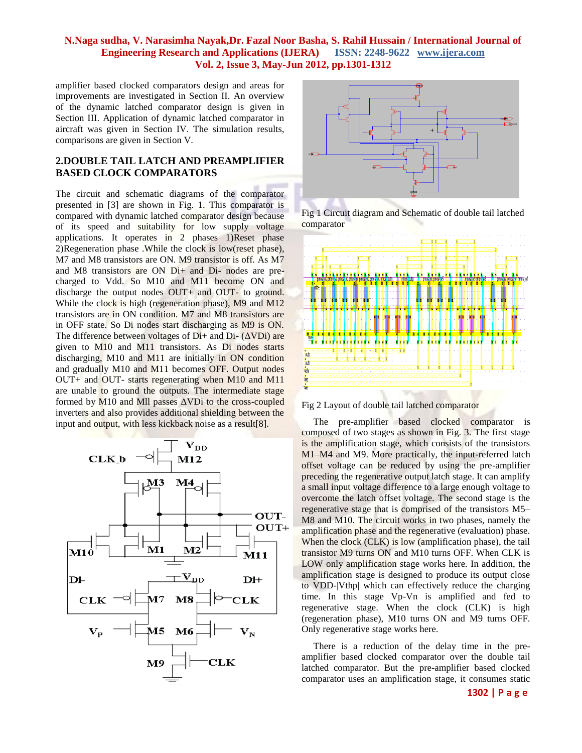amplifier based clocked comparators design and areas for improvements are investigated in Section II. An overview of the dynamic latched comparator design is given in Section III. Application of dynamic latched comparator in aircraft was given in Section IV. The simulation results, comparisons are given in Section V.

## **2.DOUBLE TAIL LATCH AND PREAMPLIFIER BASED CLOCK COMPARATORS**

The circuit and schematic diagrams of the comparator presented in [3] are shown in Fig. 1. This comparator is compared with dynamic latched comparator design because of its speed and suitability for low supply voltage applications. It operates in 2 phases 1)Reset phase 2)Regeneration phase .While the clock is low(reset phase), M7 and M8 transistors are ON. M9 transistor is off. As M7 and M8 transistors are ON Di+ and Di- nodes are precharged to Vdd. So M10 and M11 become ON and discharge the output nodes OUT+ and OUT- to ground. While the clock is high (regeneration phase), M9 and M12 transistors are in ON condition. M7 and M8 transistors are in OFF state. So Di nodes start discharging as M9 is ON. The difference between voltages of  $Di<sub>+</sub>$  and  $Di<sub>-</sub> (\Delta VDi)$  are given to M10 and M11 transistors. As Di nodes starts discharging, M10 and M11 are initially in ON condition and gradually M10 and M11 becomes OFF. Output nodes OUT+ and OUT- starts regenerating when M10 and M11 are unable to ground the outputs. The intermediate stage formed by M10 and Mll passes ΔVDi to the cross-coupled inverters and also provides additional shielding between the input and output, with less kickback noise as a result[8].





Fig 1 Circuit diagram and Schematic of double tail latched comparator



Fig 2 Layout of double tail latched comparator

 The pre-amplifier based clocked comparator is composed of two stages as shown in Fig. 3. The first stage is the amplification stage, which consists of the transistors M1–M4 and M9. More practically, the input-referred latch offset voltage can be reduced by using the pre-amplifier preceding the regenerative output latch stage. It can amplify a small input voltage difference to a large enough voltage to overcome the latch offset voltage. The second stage is the regenerative stage that is comprised of the transistors M5– M8 and M10. The circuit works in two phases, namely the amplification phase and the regenerative (evaluation) phase. When the clock (CLK) is low (amplification phase), the tail transistor M9 turns ON and M10 turns OFF. When CLK is LOW only amplification stage works here. In addition, the amplification stage is designed to produce its output close to VDD-|Vthp| which can effectively reduce the charging time. In this stage Vp-Vn is amplified and fed to regenerative stage. When the clock (CLK) is high (regeneration phase), M10 turns ON and M9 turns OFF. Only regenerative stage works here.

 There is a reduction of the delay time in the preamplifier based clocked comparator over the double tail latched comparator. But the pre-amplifier based clocked comparator uses an amplification stage, it consumes static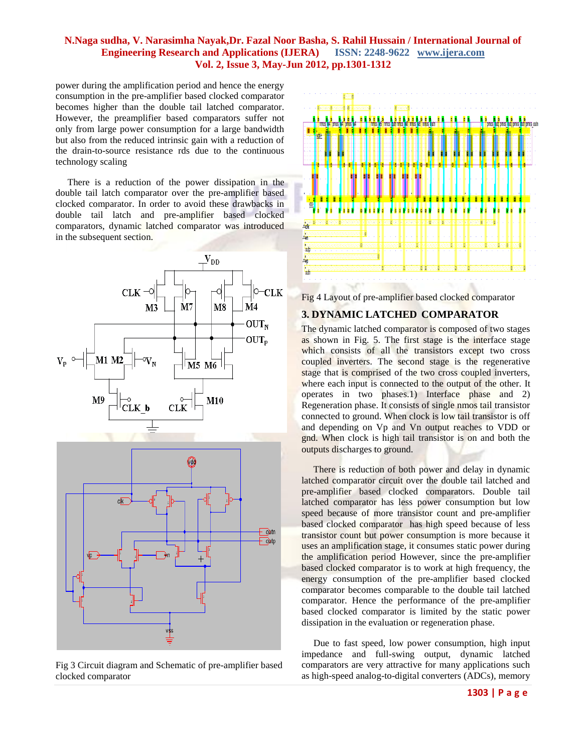power during the amplification period and hence the energy consumption in the pre-amplifier based clocked comparator becomes higher than the double tail latched comparator. However, the preamplifier based comparators suffer not only from large power consumption for a large bandwidth but also from the reduced intrinsic gain with a reduction of the drain-to-source resistance rds due to the continuous technology scaling

 There is a reduction of the power dissipation in the double tail latch comparator over the pre-amplifier based clocked comparator. In order to avoid these drawbacks in double tail latch and pre-amplifier based clocked comparators, dynamic latched comparator was introduced in the subsequent section.



Fig 3 Circuit diagram and Schematic of pre-amplifier based clocked comparator



Fig 4 Layout of pre-amplifier based clocked comparator

## **3. DYNAMIC LATCHED COMPARATOR**

The dynamic latched comparator is composed of two stages as shown in Fig. 5. The first stage is the interface stage which consists of all the transistors except two cross coupled inverters. The second stage is the regenerative stage that is comprised of the two cross coupled inverters, where each input is connected to the output of the other. It operates in two phases.1) Interface phase and 2) Regeneration phase. It consists of single nmos tail transistor connected to ground. When clock is low tail transistor is off and depending on Vp and Vn output reaches to VDD or gnd. When clock is high tail transistor is on and both the outputs discharges to ground.

 There is reduction of both power and delay in dynamic latched comparator circuit over the double tail latched and pre-amplifier based clocked comparators. Double tail latched comparator has less power consumption but low speed because of more transistor count and pre-amplifier based clocked comparator has high speed because of less transistor count but power consumption is more because it uses an amplification stage, it consumes static power during the amplification period However, since the pre-amplifier based clocked comparator is to work at high frequency, the energy consumption of the pre-amplifier based clocked comparator becomes comparable to the double tail latched comparator. Hence the performance of the pre-amplifier based clocked comparator is limited by the static power dissipation in the evaluation or regeneration phase.

 Due to fast speed, low power consumption, high input impedance and full-swing output, dynamic latched comparators are very attractive for many applications such as high-speed analog-to-digital converters (ADCs), memory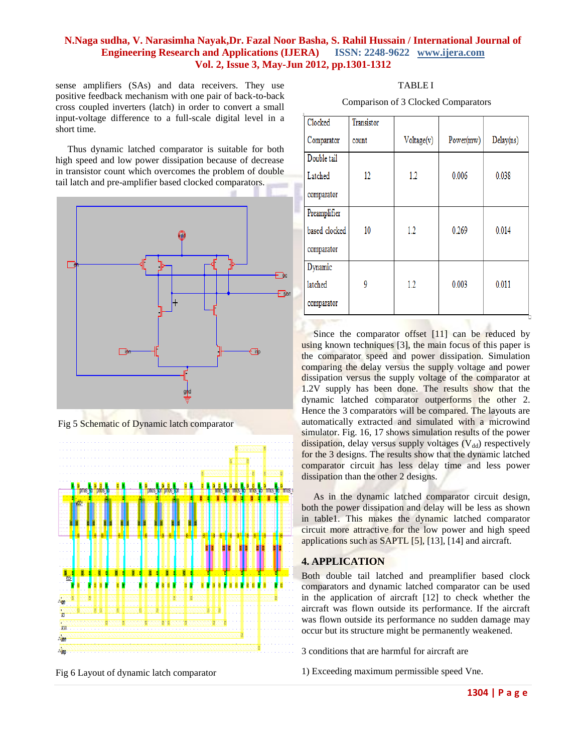sense amplifiers (SAs) and data receivers. They use positive feedback mechanism with one pair of back-to-back cross coupled inverters (latch) in order to convert a small input-voltage difference to a full-scale digital level in a short time.

 Thus dynamic latched comparator is suitable for both high speed and low power dissipation because of decrease in transistor count which overcomes the problem of double tail latch and pre-amplifier based clocked comparators.



Fig 5 Schematic of Dynamic latch comparator



Fig 6 Layout of dynamic latch comparator

Comparison of 3 Clocked Comparators

| Clocked       | Transistor |            |           |           |
|---------------|------------|------------|-----------|-----------|
| Comparator    | count      | Voltage(v) | Power(mw) | Delay(ns) |
| Double tail   |            |            |           |           |
| Latched       | 12         | 1.2        | 0.006     | 0.038     |
| comparator    |            |            |           |           |
| Preamplifier  |            |            |           |           |
| based clocked | 10         | 1.2        | 0.269     | 0.014     |
| comparator    |            |            |           |           |
| Dynamic       |            |            |           |           |
| latched       | 9          | 1.2        | 0.003     | 0.011     |
| comparator    |            |            |           |           |

Since the comparator offset [11] can be reduced by using known techniques [3], the main focus of this paper is the comparator speed and power dissipation. Simulation comparing the delay versus the supply voltage and power dissipation versus the supply voltage of the comparator at 1.2V supply has been done. The results show that the dynamic latched comparator outperforms the other 2. Hence the 3 comparators will be compared. The layouts are automatically extracted and simulated with a microwind simulator. Fig. 16, 17 shows simulation results of the power dissipation, delay versus supply voltages  $(V_{dd})$  respectively for the 3 designs. The results show that the dynamic latched comparator circuit has less delay time and less power dissipation than the other 2 designs.

 As in the dynamic latched comparator circuit design, both the power dissipation and delay will be less as shown in table1. This makes the dynamic latched comparator circuit more attractive for the low power and high speed applications such as SAPTL [5], [13], [14] and aircraft.

## **4. APPLICATION**

Both double tail latched and preamplifier based clock comparators and dynamic latched comparator can be used in the application of aircraft [12] to check whether the aircraft was flown outside its performance. If the aircraft was flown outside its performance no sudden damage may occur but its structure might be permanently weakened.

3 conditions that are harmful for aircraft are

1) Exceeding maximum permissible speed Vne.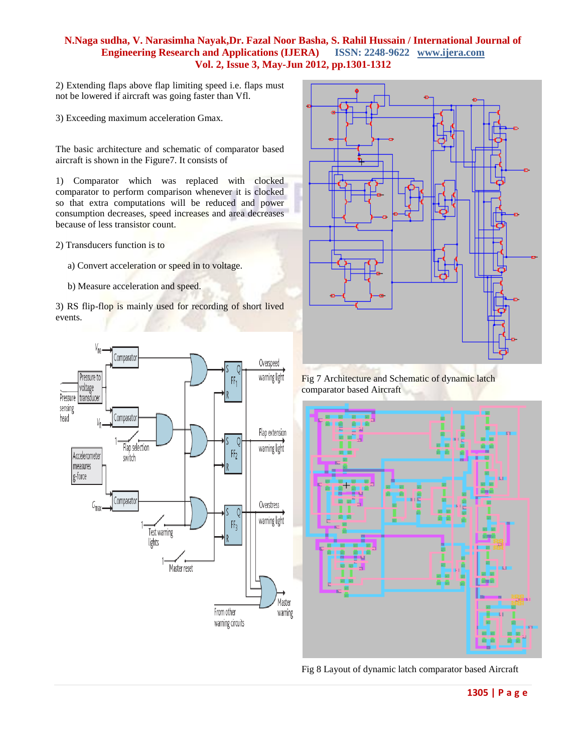2) Extending flaps above flap limiting speed i.e. flaps must not be lowered if aircraft was going faster than Vfl.

3) Exceeding maximum acceleration Gmax.

The basic architecture and schematic of comparator based aircraft is shown in the Figure7. It consists of

1) Comparator which was replaced with clocked comparator to perform comparison whenever it is clocked so that extra computations will be reduced and power consumption decreases, speed increases and area decreases because of less transistor count.

2) Transducers function is to

- a) Convert acceleration or speed in to voltage.
- b) Measure acceleration and speed.

3) RS flip-flop is mainly used for recording of short lived events.





Fig 7 Architecture and Schematic of dynamic latch comparator based Aircraft



Fig 8 Layout of dynamic latch comparator based Aircraft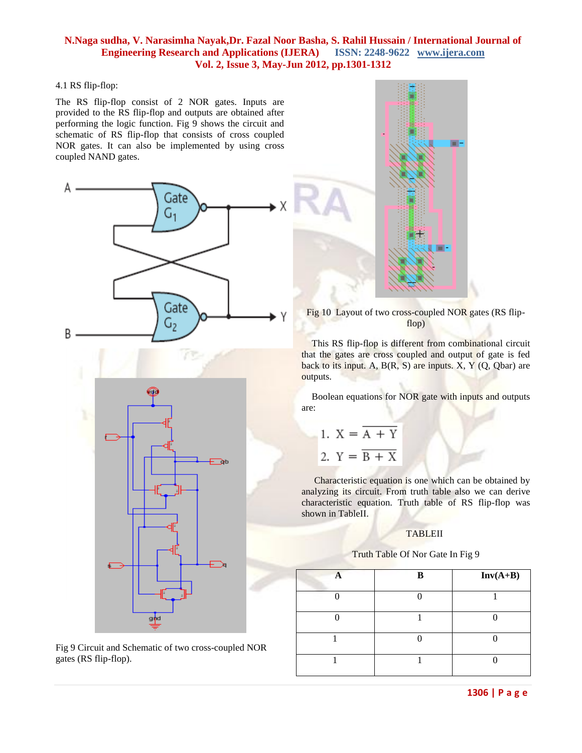#### 4.1 RS flip-flop:

The RS flip-flop consist of 2 NOR gates. Inputs are provided to the RS flip-flop and outputs are obtained after performing the logic function. Fig 9 shows the circuit and schematic of RS flip-flop that consists of cross coupled NOR gates. It can also be implemented by using cross coupled NAND gates.



Fig 9 Circuit and Schematic of two cross-coupled NOR gates (RS flip-flop).



Fig 10 Layout of two cross-coupled NOR gates (RS flipflop)

This RS flip-flop is different from combinational circuit that the gates are cross coupled and output of gate is fed back to its input. A,  $B(R, S)$  are inputs. X, Y  $(Q, Qbar)$  are outputs.

Boolean equations for NOR gate with inputs and outputs are:

1. 
$$
X = \overline{A + Y}
$$
  
2. 
$$
Y = \overline{B + X}
$$

Characteristic equation is one which can be obtained by analyzing its circuit. From truth table also we can derive characteristic equation. Truth table of RS flip-flop was shown in TableII.

#### **TABLEII**

#### Truth Table Of Nor Gate In Fig 9

| R | $Inv(A+B)$ |
|---|------------|
|   |            |
|   |            |
|   |            |
|   |            |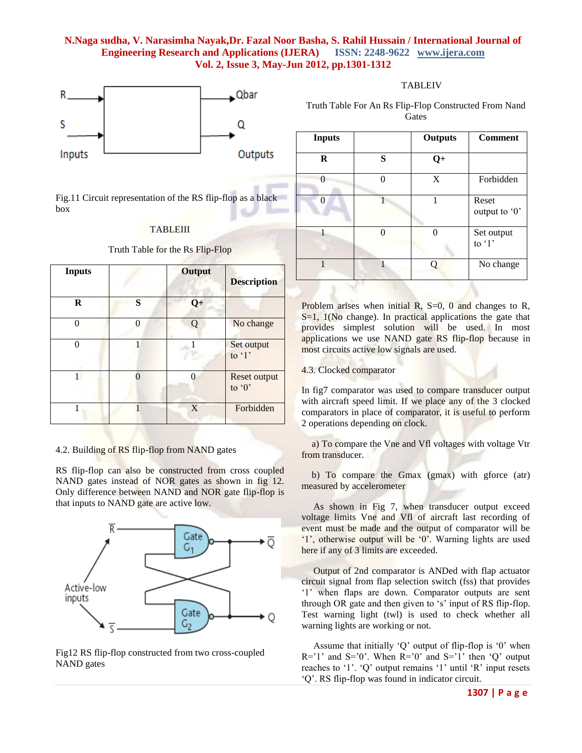

Fig.11 Circuit representation of the RS flip-flop as a black box

#### **TABLEIII**

Truth Table for the Rs Flip-Flop

| <b>Inputs</b> |   | Output | <b>Description</b>                  |
|---------------|---|--------|-------------------------------------|
| R             | S | $Q+$   |                                     |
| 0             | 0 | Q      | No change                           |
| 0             |   |        | Set output<br>to $\lq$ <sup>1</sup> |
|               | ∩ |        | Reset output<br>to '0'              |
|               |   | X      | Forbidden                           |

#### 4.2. Building of RS flip-flop from NAND gates

RS flip-flop can also be constructed from cross coupled NAND gates instead of NOR gates as shown in fig 12. Only difference between NAND and NOR gate flip-flop is that inputs to NAND gate are active low.



Fig12 RS flip-flop constructed from two cross-coupled NAND gates

#### TABLEIV

Truth Table For An Rs Flip-Flop Constructed From Nand **Gates** 

| <b>Inputs</b> |   | <b>Outputs</b> | <b>Comment</b>                      |
|---------------|---|----------------|-------------------------------------|
| $\bf R$       | S | $Q+$           |                                     |
| $\lceil$      |   | X              | Forbidden                           |
| 0             |   |                | Reset<br>output to '0'              |
|               |   |                | Set output<br>to $\lq$ <sup>1</sup> |
|               |   |                | No change                           |

Problem arises when initial R,  $S=0$ , 0 and changes to R, S=1, 1(No change). In practical applications the gate that provides simplest solution will be used. In most applications we use NAND gate RS flip-flop because in most circuits active low signals are used.

#### 4.3. Clocked comparator

In fig7 comparator was used to compare transducer output with aircraft speed limit. If we place any of the 3 clocked comparators in place of comparator, it is useful to perform 2 operations depending on clock.

a) To compare the Vne and Vfl voltages with voltage Vtr from transducer.

b) To compare the Gmax (gmax) with gforce (atr) measured by accelerometer

 As shown in Fig 7, when transducer output exceed voltage limits Vne and Vfl of aircraft last recording of event must be made and the output of comparator will be "1", otherwise output will be "0". Warning lights are used here if any of 3 limits are exceeded.

 Output of 2nd comparator is ANDed with flap actuator circuit signal from flap selection switch (fss) that provides "1" when flaps are down. Comparator outputs are sent through OR gate and then given to 's' input of RS flip-flop. Test warning light (twl) is used to check whether all warning lights are working or not.

 Assume that initially "Q" output of flip-flop is "0" when  $R=1'$  and  $S=0'$ . When  $R=0'$  and  $S=1'$  then 'Q' output reaches to '1'. 'Q' output remains '1' until 'R' input resets "Q". RS flip-flop was found in indicator circuit.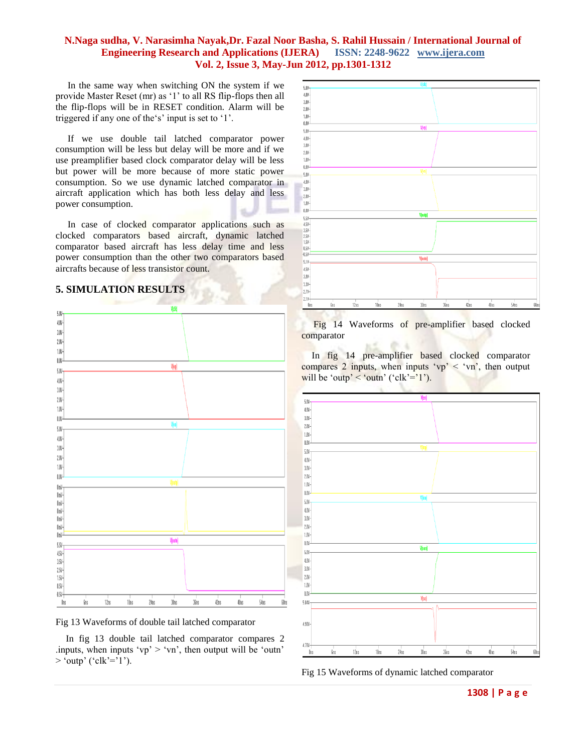In the same way when switching ON the system if we provide Master Reset (mr) as "1" to all RS flip-flops then all the flip-flops will be in RESET condition. Alarm will be triggered if any one of the's' input is set to '1'.

 If we use double tail latched comparator power consumption will be less but delay will be more and if we use preamplifier based clock comparator delay will be less but power will be more because of more static power consumption. So we use dynamic latched comparator in aircraft application which has both less delay and less power consumption.

In case of clocked comparator applications such as clocked comparators based aircraft, dynamic latched comparator based aircraft has less delay time and less power consumption than the other two comparators based aircrafts because of less transistor count.

## **5. SIMULATION RESULTS**





In fig 13 double tail latched comparator compares 2 .inputs, when inputs ' $vp$ ' > ' $vn$ ', then output will be 'outn'  $>$  'outp' ('clk'='1').



Fig 14 Waveforms of pre-amplifier based clocked comparator

٠

In fig 14 pre-amplifier based clocked comparator compares 2 inputs, when inputs ' $vp$ ' < 'vn', then output will be 'outp' < 'outn' ('clk'='1').



Fig 15 Waveforms of dynamic latched comparator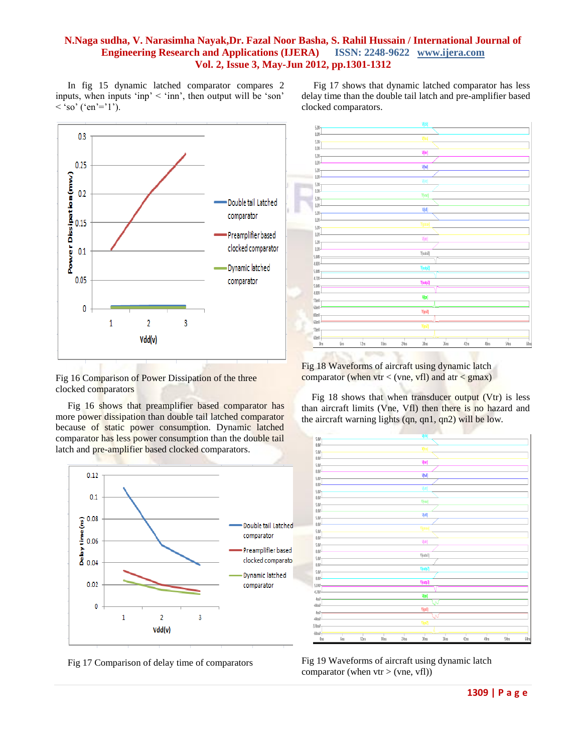In fig 15 dynamic latched comparator compares 2 inputs, when inputs 'inp'  $\le$  'inn', then output will be 'son'  $\langle$  'so' ('en'='1').



Fig 16 Comparison of Power Dissipation of the three clocked comparators

 Fig 16 shows that preamplifier based comparator has more power dissipation than double tail latched comparator because of static power consumption. Dynamic latched comparator has less power consumption than the double tail latch and pre-amplifier based clocked comparators.



Fig 17 Comparison of delay time of comparators

 Fig 17 shows that dynamic latched comparator has less delay time than the double tail latch and pre-amplifier based clocked comparators.



Fig 18 Waveforms of aircraft using dynamic latch comparator (when  $v$ tr < (vne, vfl) and atr < gmax)

Fig 18 shows that when transducer output  $(Vtr)$  is less than aircraft limits (Vne, Vfl) then there is no hazard and the aircraft warning lights (qn, qn1, qn2) will be low.



Fig 19 Waveforms of aircraft using dynamic latch comparator (when  $v$ tr > (vne, vfl))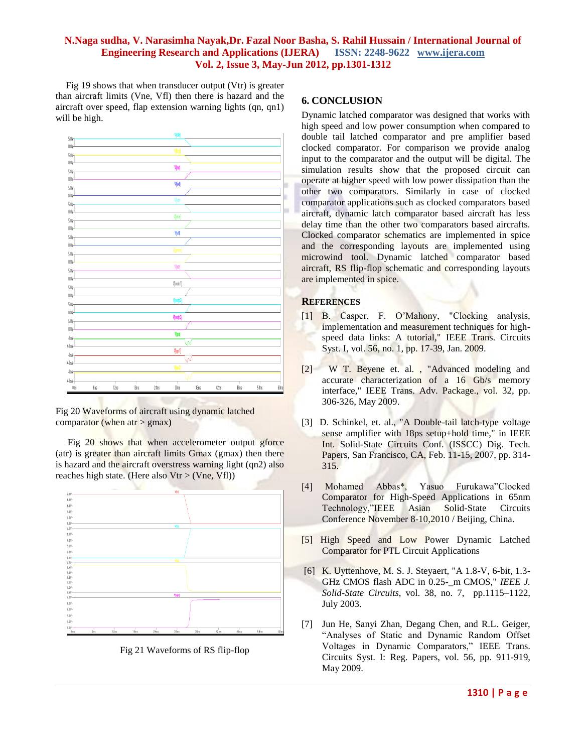Fig 19 shows that when transducer output (Vtr) is greater than aircraft limits (Vne, Vfl) then there is hazard and the aircraft over speed, flap extension warning lights (qn, qn1) will be high.

| 5.01-       |                 |      |      |      | vicing                  |       |      |      |      |              |  |
|-------------|-----------------|------|------|------|-------------------------|-------|------|------|------|--------------|--|
| LIV-        |                 |      |      |      |                         |       |      |      |      |              |  |
| 邸-          |                 |      |      |      | Viissi                  |       |      |      |      |              |  |
| UN-         |                 |      |      |      |                         |       |      |      |      |              |  |
|             |                 |      |      |      | V(mr)                   |       |      |      |      |              |  |
| }解<br>ωy-   |                 |      |      |      |                         |       |      |      |      |              |  |
|             |                 |      |      |      | ŊМ                      |       |      |      |      |              |  |
| }⊪          |                 |      |      |      |                         |       |      |      |      |              |  |
| ωy.         |                 |      |      |      | 啊                       |       |      |      |      | Ľ            |  |
| SIN-        |                 |      |      |      |                         |       |      |      |      |              |  |
| UN-         |                 |      |      |      | V[vne]                  |       |      |      |      |              |  |
| }解          |                 |      |      |      |                         |       |      |      |      |              |  |
| UN-         |                 |      |      |      | 恻                       |       |      |      |      |              |  |
| }解          |                 |      |      |      |                         |       |      |      |      |              |  |
| UN-         |                 |      |      |      |                         |       |      |      |      |              |  |
| 邸-          |                 |      |      |      | Vigmas                  |       |      |      |      |              |  |
| UV-         |                 |      |      |      |                         |       |      |      |      |              |  |
| 5.0%        |                 |      |      |      | V[atr]                  |       |      |      |      |              |  |
| UN-         |                 |      |      |      |                         |       |      |      |      |              |  |
|             |                 |      |      |      | $\forall\text{[outn1]}$ |       |      |      |      |              |  |
| 5.07-       |                 |      |      |      |                         |       |      |      |      |              |  |
| UN-         |                 |      |      |      | V[outp2]                |       |      |      |      |              |  |
| 5.07-       |                 |      |      |      |                         |       |      |      |      |              |  |
| W-          |                 |      |      |      | V[outp3]                |       |      |      |      |              |  |
| }解          |                 |      |      |      |                         |       |      |      |      |              |  |
| ωy-         |                 |      |      |      |                         |       |      |      |      |              |  |
| 础.          |                 |      |      |      | Viqa)                   |       |      |      |      |              |  |
| (lo)        |                 |      |      |      |                         |       |      |      |      |              |  |
| 信)          |                 |      |      |      | V[qn1]                  |       |      |      |      |              |  |
| (lo)        |                 |      |      |      |                         | N     |      |      |      |              |  |
| 信)          |                 |      |      |      | V[qn2]                  |       |      |      |      |              |  |
| (lm)-       |                 |      |      |      |                         |       |      |      |      |              |  |
| <b>Oirs</b> | 6n <sub>S</sub> | 12ns | 18ns | 24ns | 30ns                    | 3Fins | 42ns | 48ns | 54ns | <b>GN</b> ns |  |
|             |                 |      |      |      |                         |       |      |      |      |              |  |

Fig 20 Waveforms of aircraft using dynamic latched comparator (when  $atr > gmax$ )

Fig 20 shows that when accelerometer output gforce (atr) is greater than aircraft limits Gmax (gmax) then there is hazard and the aircraft overstress warning light (qn2) also reaches high state. (Here also  $Vtr > (Vne, Vfl))$ )



Fig 21 Waveforms of RS flip-flop

### **6. CONCLUSION**

Dynamic latched comparator was designed that works with high speed and low power consumption when compared to double tail latched comparator and pre amplifier based clocked comparator. For comparison we provide analog input to the comparator and the output will be digital. The simulation results show that the proposed circuit can operate at higher speed with low power dissipation than the other two comparators. Similarly in case of clocked comparator applications such as clocked comparators based aircraft, dynamic latch comparator based aircraft has less delay time than the other two comparators based aircrafts. Clocked comparator schematics are implemented in spice and the corresponding layouts are implemented using microwind tool. Dynamic latched comparator based aircraft, RS flip-flop schematic and corresponding layouts are implemented in spice.

### **REFERENCES**

- [1] B. Casper, F. O"Mahony, "Clocking analysis, implementation and measurement techniques for highspeed data links: A tutorial," IEEE Trans. Circuits Syst. I, vol. 56, no. 1, pp. 17-39, Jan. 2009.
- [2] W T. Beyene et. al. , "Advanced modeling and accurate characterization of a 16 Gb/s memory interface," IEEE Trans. Adv. Package., vol. 32, pp. 306-326, May 2009.
- [3] D. Schinkel, et. al., "A Double-tail latch-type voltage sense amplifier with 18ps setup+hold time," in IEEE Int. Solid-State Circuits Conf. (ISSCC) Dig. Tech. Papers, San Francisco, CA, Feb. 11-15, 2007, pp. 314- 315.
- [4] Mohamed Abbas\*, Yasuo Furukawa"Clocked Comparator for High-Speed Applications in 65nm Technology,"IEEE Asian Solid-State Circuits Conference November 8-10,2010 / Beijing, China.
- [5] High Speed and Low Power Dynamic Latched Comparator for PTL Circuit Applications
- [6] K. Uyttenhove, M. S. J. Steyaert, "A 1.8-V, 6-bit, 1.3- GHz CMOS flash ADC in 0.25-\_m CMOS," *IEEE J. Solid-State Circuits*, vol. 38, no. 7, pp.1115–1122, July 2003.
- [7] Jun He, Sanyi Zhan, Degang Chen, and R.L. Geiger, "Analyses of Static and Dynamic Random Offset Voltages in Dynamic Comparators," IEEE Trans. Circuits Syst. I: Reg. Papers, vol. 56, pp. 911-919, May 2009.